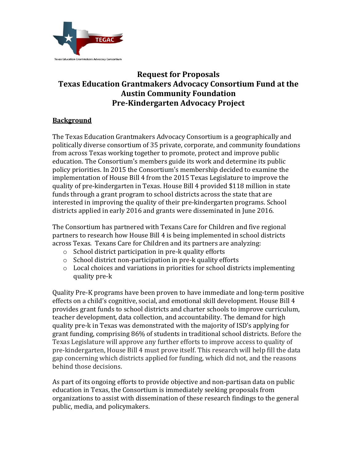

## **Request for Proposals Texas Education Grantmakers Advocacy Consortium Fund at the Austin Community Foundation Pre-Kindergarten Advocacy Project**

## **Background**

The Texas Education Grantmakers Advocacy Consortium is a geographically and politically diverse consortium of 35 private, corporate, and community foundations from across Texas working together to promote, protect and improve public education. The Consortium's members guide its work and determine its public policy priorities. In 2015 the Consortium's membership decided to examine the implementation of House Bill 4 from the 2015 Texas Legislature to improve the quality of pre-kindergarten in Texas. House Bill 4 provided \$118 million in state funds through a grant program to school districts across the state that are interested in improving the quality of their pre-kindergarten programs. School districts applied in early 2016 and grants were disseminated in June 2016.

The Consortium has partnered with Texans Care for Children and five regional partners to research how House Bill 4 is being implemented in school districts across Texas. Texans Care for Children and its partners are analyzing:

- o School district participation in pre-k quality efforts
- o School district non-participation in pre-k quality efforts
- o Local choices and variations in priorities for school districts implementing quality pre-k

Quality Pre-K programs have been proven to have immediate and long-term positive effects on a child's cognitive, social, and emotional skill development. House Bill 4 provides grant funds to school districts and charter schools to improve curriculum, teacher development, data collection, and accountability. The demand for high quality pre-k in Texas was demonstrated with the majority of ISD's applying for grant funding, comprising 86% of students in traditional school districts. Before the Texas Legislature will approve any further efforts to improve access to quality of pre-kindergarten, House Bill 4 must prove itself. This research will help fill the data gap concerning which districts applied for funding, which did not, and the reasons behind those decisions.

As part of its ongoing efforts to provide objective and non-partisan data on public education in Texas, the Consortium is immediately seeking proposals from organizations to assist with dissemination of these research findings to the general public, media, and policymakers.